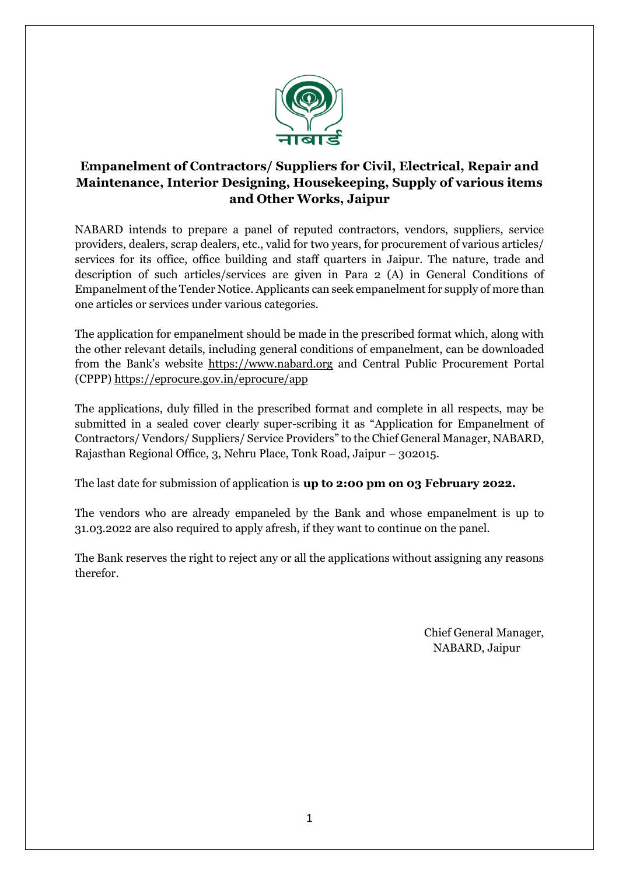

# **Empanelment of Contractors/ Suppliers for Civil, Electrical, Repair and Maintenance, Interior Designing, Housekeeping, Supply of various items and Other Works, Jaipur**

NABARD intends to prepare a panel of reputed contractors, vendors, suppliers, service providers, dealers, scrap dealers, etc., valid for two years, for procurement of various articles/ services for its office, office building and staff quarters in Jaipur. The nature, trade and description of such articles/services are given in Para 2 (A) in General Conditions of Empanelment of the Tender Notice. Applicants can seek empanelment for supply of more than one articles or services under various categories.

The application for empanelment should be made in the prescribed format which, along with the other relevant details, including general conditions of empanelment, can be downloaded from the Bank's website https://www.nabard.org and Central Public Procurement Portal (CPPP) https://eprocure.gov.in/eprocure/app

The applications, duly filled in the prescribed format and complete in all respects, may be submitted in a sealed cover clearly super-scribing it as "Application for Empanelment of Contractors/ Vendors/ Suppliers/ Service Providers" to the Chief General Manager, NABARD, Rajasthan Regional Office, 3, Nehru Place, Tonk Road, Jaipur – 302015.

The last date for submission of application is **up to 2:00 pm on 03 February 2022.** 

The vendors who are already empaneled by the Bank and whose empanelment is up to 31.03.2022 are also required to apply afresh, if they want to continue on the panel.

The Bank reserves the right to reject any or all the applications without assigning any reasons therefor.

> Chief General Manager, NABARD, Jaipur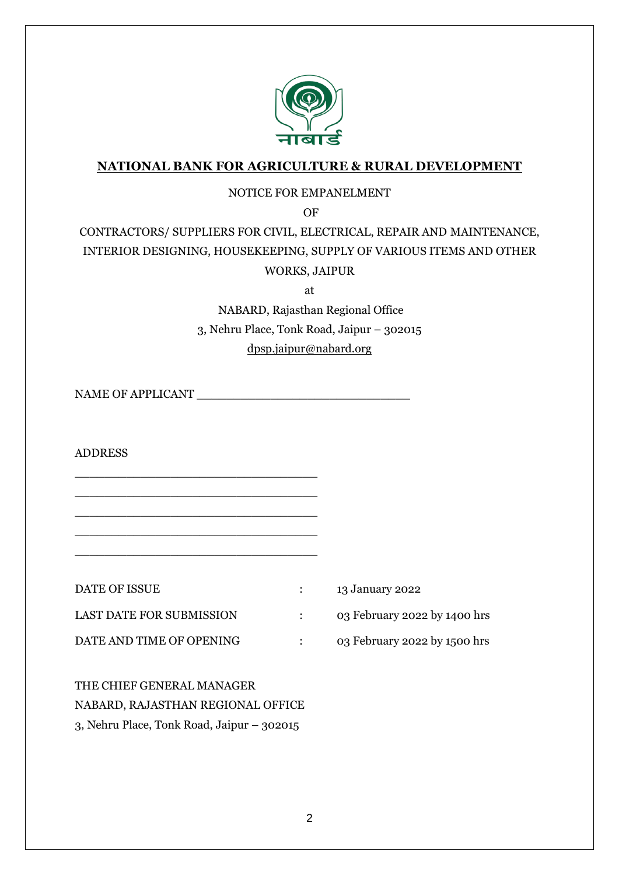

# **NATIONAL BANK FOR AGRICULTURE & RURAL DEVELOPMENT**

### NOTICE FOR EMPANELMENT

OF

# CONTRACTORS/ SUPPLIERS FOR CIVIL, ELECTRICAL, REPAIR AND MAINTENANCE, INTERIOR DESIGNING, HOUSEKEEPING, SUPPLY OF VARIOUS ITEMS AND OTHER WORKS, JAIPUR

at

NABARD, Rajasthan Regional Office 3, Nehru Place, Tonk Road, Jaipur – 302015 [dpsp.jaipur@nabard.org](mailto:dpsp.jaipur@nabard.org)

NAME OF APPLICANT

ADDRESS

DATE OF ISSUE : 13 January 2022 LAST DATE FOR SUBMISSION : 03 February 2022 by 1400 hrs DATE AND TIME OF OPENING : 03 February 2022 by 1500 hrs

\_\_\_\_\_\_\_\_\_\_\_\_\_\_\_\_\_\_\_\_\_\_\_\_\_\_\_\_\_\_\_\_\_ \_\_\_\_\_\_\_\_\_\_\_\_\_\_\_\_\_\_\_\_\_\_\_\_\_\_\_\_\_\_\_\_\_ \_\_\_\_\_\_\_\_\_\_\_\_\_\_\_\_\_\_\_\_\_\_\_\_\_\_\_\_\_\_\_\_\_ \_\_\_\_\_\_\_\_\_\_\_\_\_\_\_\_\_\_\_\_\_\_\_\_\_\_\_\_\_\_\_\_\_ \_\_\_\_\_\_\_\_\_\_\_\_\_\_\_\_\_\_\_\_\_\_\_\_\_\_\_\_\_\_\_\_\_

THE CHIEF GENERAL MANAGER NABARD, RAJASTHAN REGIONAL OFFICE 3, Nehru Place, Tonk Road, Jaipur – 302015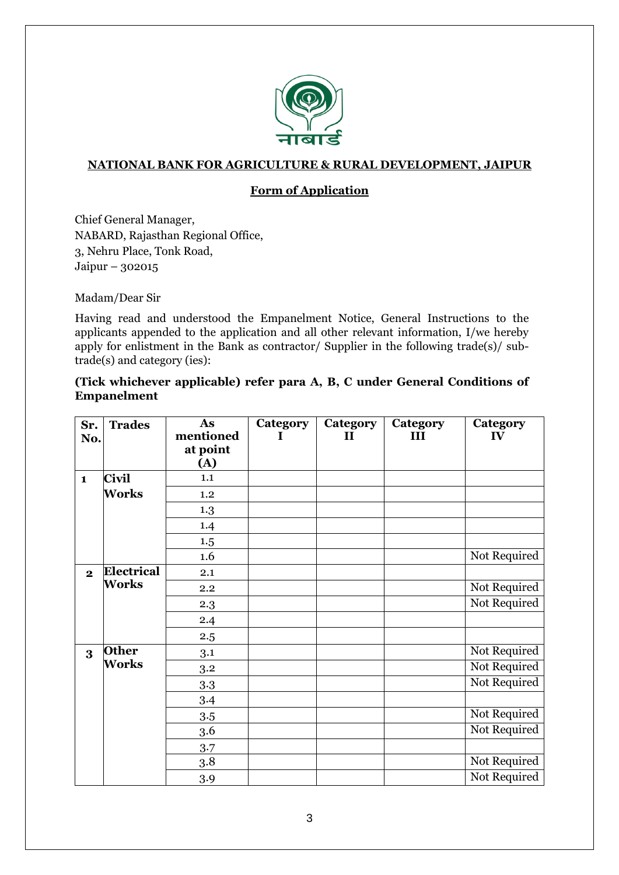

### **NATIONAL BANK FOR AGRICULTURE & RURAL DEVELOPMENT, JAIPUR**

### **Form of Application**

Chief General Manager, NABARD, Rajasthan Regional Office, 3, Nehru Place, Tonk Road, Jaipur – 302015

Madam/Dear Sir

Having read and understood the Empanelment Notice, General Instructions to the applicants appended to the application and all other relevant information, I/we hereby apply for enlistment in the Bank as contractor/ Supplier in the following trade(s)/ subtrade(s) and category (ies):

#### **(Tick whichever applicable) refer para A, B, C under General Conditions of Empanelment**

| Sr.<br>No.              | <b>Trades</b> | As<br>mentioned<br>at point<br>(A) | <b>Category</b> | <b>Category</b><br>$\mathbf H$ | <b>Category</b><br>III | Category<br>IV |
|-------------------------|---------------|------------------------------------|-----------------|--------------------------------|------------------------|----------------|
| $\mathbf{1}$            | Civil         | 1.1                                |                 |                                |                        |                |
|                         | <b>Works</b>  | 1.2                                |                 |                                |                        |                |
|                         |               | 1.3                                |                 |                                |                        |                |
|                         |               | 1.4                                |                 |                                |                        |                |
|                         |               | 1.5                                |                 |                                |                        |                |
|                         |               | 1.6                                |                 |                                |                        | Not Required   |
| $\overline{\mathbf{2}}$ | Electrical    | 2.1                                |                 |                                |                        |                |
|                         | <b>Works</b>  | 2.2                                |                 |                                |                        | Not Required   |
|                         |               | 2.3                                |                 |                                |                        | Not Required   |
|                         |               | 2.4                                |                 |                                |                        |                |
|                         |               | 2.5                                |                 |                                |                        |                |
| 3                       | <b>Other</b>  | 3.1                                |                 |                                |                        | Not Required   |
|                         | <b>Works</b>  | 3.2                                |                 |                                |                        | Not Required   |
|                         |               | 3.3                                |                 |                                |                        | Not Required   |
|                         |               | 3.4                                |                 |                                |                        |                |
|                         |               | 3.5                                |                 |                                |                        | Not Required   |
|                         |               | 3.6                                |                 |                                |                        | Not Required   |
|                         |               | 3.7                                |                 |                                |                        |                |
|                         |               | 3.8                                |                 |                                |                        | Not Required   |
|                         |               | 3.9                                |                 |                                |                        | Not Required   |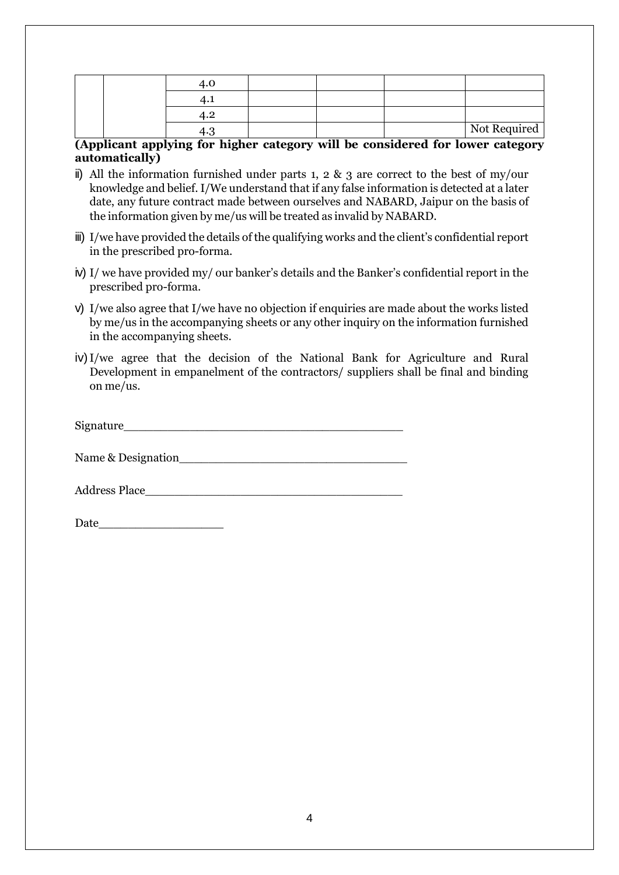|  |  |  | Not Required |
|--|--|--|--------------|

#### **(Applicant applying for higher category will be considered for lower category automatically)**

- i) All the information furnished under parts 1, 2  $\&$  3 are correct to the best of my/our knowledge and belief. I/We understand that if any false information is detected at a later date, any future contract made between ourselves and NABARD, Jaipur on the basis of the information given by me/us will be treated as invalid by NABARD.
- iii) I/we have provided the details of the qualifying works and the client's confidential report in the prescribed pro-forma.
- iv) I/ we have provided my/ our banker's details and the Banker's confidential report in the prescribed pro-forma.
- v) I/we also agree that I/we have no objection if enquiries are made about the works listed by me/us in the accompanying sheets or any other inquiry on the information furnished in the accompanying sheets.
- iv)I/we agree that the decision of the National Bank for Agriculture and Rural Development in empanelment of the contractors/ suppliers shall be final and binding on me/us.

| Sigr<br>matura |  |  |  |
|----------------|--|--|--|
|                |  |  |  |

Name & Designation\_\_\_\_\_\_\_\_\_\_\_\_\_\_\_\_\_\_\_\_\_\_\_\_\_\_\_\_\_\_\_

Address Place\_\_\_\_\_\_\_\_\_\_\_\_\_\_\_\_\_\_\_\_\_\_\_\_\_\_\_\_\_\_\_\_\_\_\_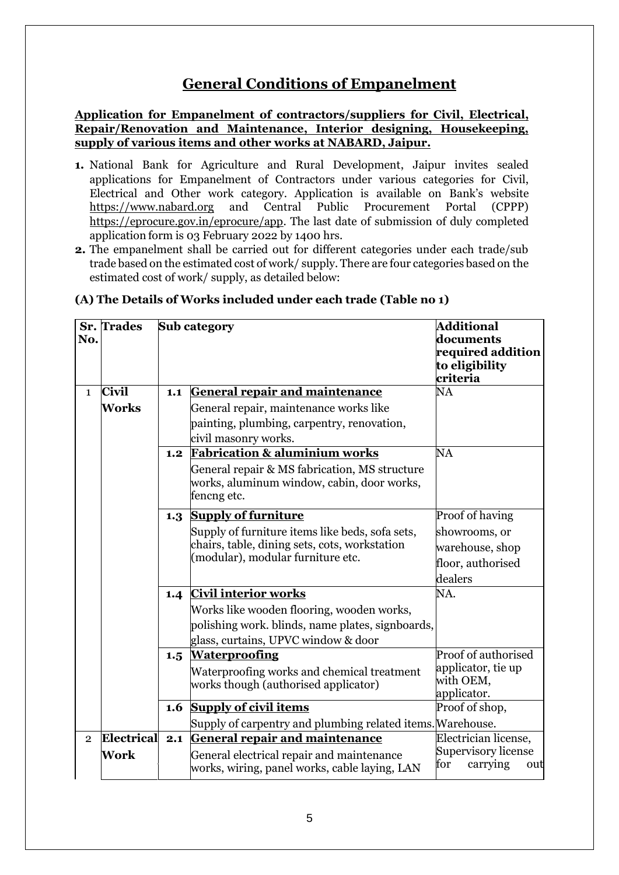# **General Conditions of Empanelment**

**Application for Empanelment of contractors/suppliers for Civil, Electrical, Repair/Renovation and Maintenance, Interior designing, Housekeeping, supply of various items and other works at NABARD, Jaipur.**

- **1.** National Bank for Agriculture and Rural Development, Jaipur invites sealed applications for Empanelment of Contractors under various categories for Civil, Electrical and Other work category. Application is available on Bank's website https://www.nabard.org and Central Public Procurement Portal (CPPP) https://eprocure.gov.in/eprocure/app. The last date of submission of duly completed application form is 03 February 2022 by 1400 hrs.
- **2.** The empanelment shall be carried out for different categories under each trade/sub trade based on the estimated cost of work/ supply. There are four categories based on the estimated cost of work/ supply, as detailed below:

| No.            | <b>Sr.</b> Trades | Sub category |                                                                                                            | <b>Additional</b><br>documents<br>required addition<br>to eligibility<br>criteria |
|----------------|-------------------|--------------|------------------------------------------------------------------------------------------------------------|-----------------------------------------------------------------------------------|
| $\mathbf{1}$   | <b>Civil</b>      | 1.1          | <b>General repair and maintenance</b>                                                                      | NA                                                                                |
|                | <b>Works</b>      |              | General repair, maintenance works like                                                                     |                                                                                   |
|                |                   |              | painting, plumbing, carpentry, renovation,<br>civil masonry works.                                         |                                                                                   |
|                |                   | 1.2          | <b>Fabrication &amp; aluminium works</b>                                                                   | NA                                                                                |
|                |                   |              | General repair & MS fabrication, MS structure<br>works, aluminum window, cabin, door works,<br>fencng etc. |                                                                                   |
|                |                   | 1.3          | <b>Supply of furniture</b>                                                                                 | Proof of having                                                                   |
|                |                   |              | Supply of furniture items like beds, sofa sets,                                                            | showrooms, or                                                                     |
|                |                   |              | chairs, table, dining sets, cots, workstation                                                              | warehouse, shop                                                                   |
|                |                   |              | (modular), modular furniture etc.                                                                          | floor, authorised                                                                 |
|                |                   |              |                                                                                                            | dealers                                                                           |
|                |                   | 1.4          | <b>Civil interior works</b>                                                                                | NA.                                                                               |
|                |                   |              | Works like wooden flooring, wooden works,                                                                  |                                                                                   |
|                |                   |              | polishing work. blinds, name plates, signboards,                                                           |                                                                                   |
|                |                   |              | glass, curtains, UPVC window & door<br><b>Waterproofing</b>                                                | Proof of authorised                                                               |
|                |                   | 1.5          | Waterproofing works and chemical treatment                                                                 | applicator, tie up                                                                |
|                |                   |              | works though (authorised applicator)                                                                       | with OEM,                                                                         |
|                |                   |              |                                                                                                            | applicator.                                                                       |
|                |                   | 1.6          | <b>Supply of civil items</b>                                                                               | Proof of shop,                                                                    |
|                |                   |              | Supply of carpentry and plumbing related items. Warehouse.                                                 |                                                                                   |
| $\overline{2}$ | Electrical        | 2.1          | <b>General repair and maintenance</b>                                                                      | Electrician license,                                                              |
|                | Work              |              | General electrical repair and maintenance<br>works, wiring, panel works, cable laying, LAN                 | Supervisory license<br>for<br>carrying<br>out                                     |

#### **(A) The Details of Works included under each trade (Table no 1)**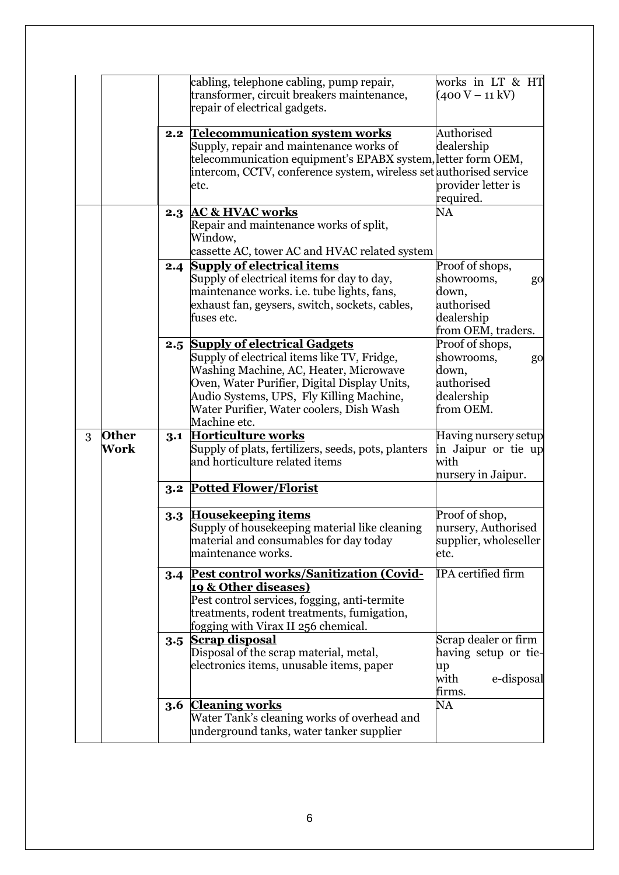|   |              |     | cabling, telephone cabling, pump repair,                           | works in LT & HT      |
|---|--------------|-----|--------------------------------------------------------------------|-----------------------|
|   |              |     | transformer, circuit breakers maintenance,                         | $(400 V - 11 kV)$     |
|   |              |     | repair of electrical gadgets.                                      |                       |
|   |              |     |                                                                    |                       |
|   |              |     | 2.2 Telecommunication system works                                 | Authorised            |
|   |              |     | Supply, repair and maintenance works of                            | dealership            |
|   |              |     | telecommunication equipment's EPABX system, letter form OEM,       |                       |
|   |              |     | intercom, CCTV, conference system, wireless set authorised service |                       |
|   |              |     | etc.                                                               | provider letter is    |
|   |              |     |                                                                    | required.             |
|   |              | 2.3 | <b>AC &amp; HVAC works</b>                                         | NA                    |
|   |              |     | Repair and maintenance works of split,                             |                       |
|   |              |     | Window,                                                            |                       |
|   |              |     | cassette AC, tower AC and HVAC related system                      |                       |
|   |              | 2.4 | <b>Supply of electrical items</b>                                  | Proof of shops,       |
|   |              |     | Supply of electrical items for day to day,                         | showrooms,<br>go      |
|   |              |     | maintenance works. i.e. tube lights, fans,                         | down,                 |
|   |              |     | exhaust fan, geysers, switch, sockets, cables,                     | authorised            |
|   |              |     | fuses etc.                                                         | dealership            |
|   |              |     |                                                                    |                       |
|   |              |     |                                                                    | from OEM, traders.    |
|   |              |     | 2.5 Supply of electrical Gadgets                                   | Proof of shops,       |
|   |              |     | Supply of electrical items like TV, Fridge,                        | showrooms,<br>go      |
|   |              |     | Washing Machine, AC, Heater, Microwave                             | down,                 |
|   |              |     | Oven, Water Purifier, Digital Display Units,                       | authorised            |
|   |              |     | Audio Systems, UPS, Fly Killing Machine,                           | dealership            |
|   |              |     | Water Purifier, Water coolers, Dish Wash                           | from OEM.             |
|   |              |     | Machine etc.                                                       |                       |
| 3 | <b>Other</b> | 3.1 | <b>Horticulture works</b>                                          | Having nursery setup  |
|   | Work         |     | Supply of plats, fertilizers, seeds, pots, planters                | in Jaipur or tie up   |
|   |              |     | and horticulture related items                                     | with                  |
|   |              |     |                                                                    | nursery in Jaipur.    |
|   |              | 3.2 | <b>Potted Flower/Florist</b>                                       |                       |
|   |              |     |                                                                    |                       |
|   |              | 3.3 | <b>Housekeeping items</b>                                          | Proof of shop,        |
|   |              |     | Supply of housekeeping material like cleaning                      | nursery, Authorised   |
|   |              |     | material and consumables for day today                             | supplier, wholeseller |
|   |              |     | maintenance works.                                                 | etc.                  |
|   |              |     |                                                                    |                       |
|   |              |     | 3.4 Pest control works/Sanitization (Covid-                        | IPA certified firm    |
|   |              |     | 19 & Other diseases)                                               |                       |
|   |              |     | Pest control services, fogging, anti-termite                       |                       |
|   |              |     |                                                                    |                       |
|   |              |     | treatments, rodent treatments, fumigation,                         |                       |
|   |              |     | fogging with Virax II 256 chemical.                                |                       |
|   |              |     | 3.5 Scrap disposal                                                 | Scrap dealer or firm  |
|   |              |     | Disposal of the scrap material, metal,                             | having setup or tie-  |
|   |              |     | electronics items, unusable items, paper                           | up                    |
|   |              |     |                                                                    | with<br>e-disposal    |
|   |              |     |                                                                    | firms.                |
|   |              |     | 3.6 Cleaning works                                                 | NA                    |
|   |              |     | Water Tank's cleaning works of overhead and                        |                       |
|   |              |     | underground tanks, water tanker supplier                           |                       |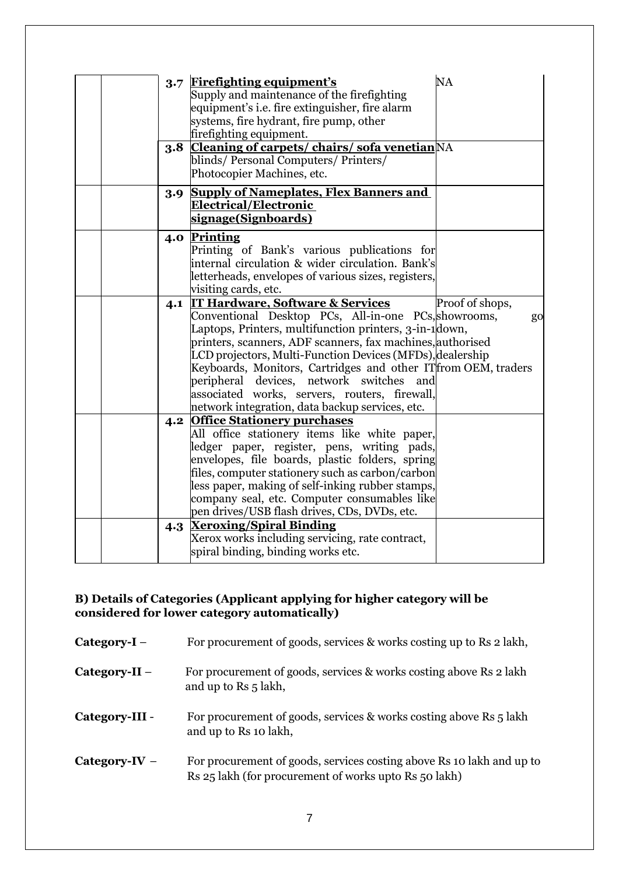|  | 3.8 | 3.7 Firefighting equipment's<br>Supply and maintenance of the firefighting<br>equipment's i.e. fire extinguisher, fire alarm<br>systems, fire hydrant, fire pump, other<br>firefighting equipment.<br><b>Cleaning of carpets/ chairs/ sofa venetian</b> NA<br>blinds/Personal Computers/Printers/<br>Photocopier Machines, etc.                                                                                                                                                                         | <b>NA</b>             |
|--|-----|---------------------------------------------------------------------------------------------------------------------------------------------------------------------------------------------------------------------------------------------------------------------------------------------------------------------------------------------------------------------------------------------------------------------------------------------------------------------------------------------------------|-----------------------|
|  | 3.9 | <b>Supply of Nameplates, Flex Banners and</b><br><b>Electrical/Electronic</b><br>signage(Signboards)                                                                                                                                                                                                                                                                                                                                                                                                    |                       |
|  | 4.0 | <b>Printing</b><br>Printing of Bank's various publications for<br>internal circulation & wider circulation. Bank's<br>letterheads, envelopes of various sizes, registers,<br>visiting cards, etc.                                                                                                                                                                                                                                                                                                       |                       |
|  |     | 4.1 IT Hardware, Software & Services<br>Conventional Desktop PCs, All-in-one PCs, showrooms,<br>Laptops, Printers, multifunction printers, 3-in-1 down,<br>printers, scanners, ADF scanners, fax machines, authorised<br>LCD projectors, Multi-Function Devices (MFDs), dealership<br>Keyboards, Monitors, Cartridges and other IT from OEM, traders<br>peripheral devices, network switches<br>and<br>associated works, servers, routers, firewall,<br>network integration, data backup services, etc. | Proof of shops,<br>go |
|  |     | 4.2 Office Stationery purchases<br>All office stationery items like white paper,<br>ledger paper, register, pens, writing pads,<br>envelopes, file boards, plastic folders, spring<br>files, computer stationery such as carbon/carbon<br>less paper, making of self-inking rubber stamps,<br>company seal, etc. Computer consumables like<br>pen drives/USB flash drives, CDs, DVDs, etc.                                                                                                              |                       |
|  |     | 4.3 Xeroxing/Spiral Binding<br>Xerox works including servicing, rate contract,<br>spiral binding, binding works etc.                                                                                                                                                                                                                                                                                                                                                                                    |                       |

#### **B) Details of Categories (Applicant applying for higher category will be considered for lower category automatically)**

| Category- $I -$ | For procurement of goods, services & works costing up to Rs 2 lakh,                                                            |
|-----------------|--------------------------------------------------------------------------------------------------------------------------------|
| $Category-II -$ | For procurement of goods, services & works costing above Rs 2 lakh<br>and up to Rs 5 lakh,                                     |
| Category-III -  | For procurement of goods, services & works costing above Rs 5 lakh<br>and up to Rs 10 lakh,                                    |
| Category-IV $-$ | For procurement of goods, services costing above Rs 10 lakh and up to<br>Rs 25 lakh (for procurement of works upto Rs 50 lakh) |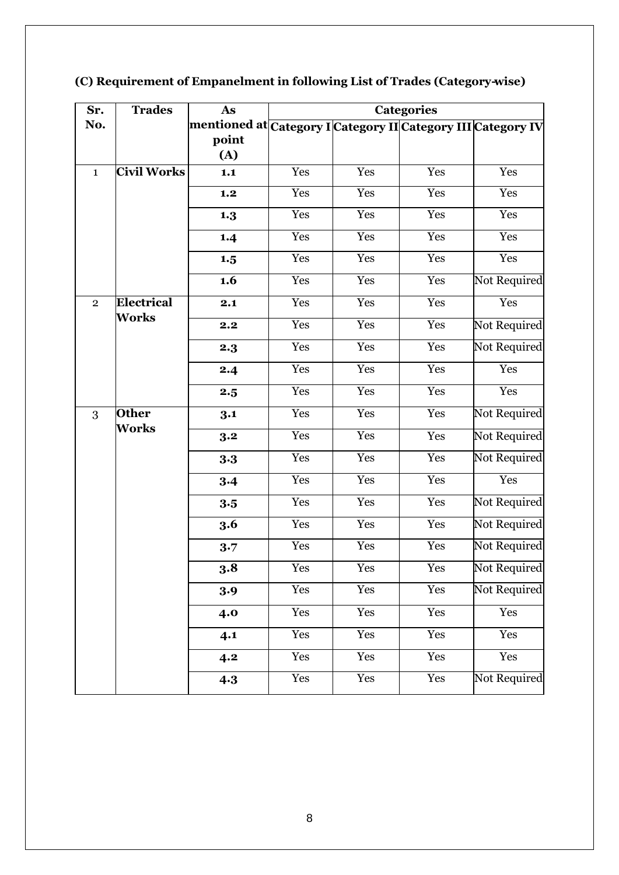| Sr.            | <b>Trades</b>      | As                                                                         | <b>Categories</b> |     |                      |              |
|----------------|--------------------|----------------------------------------------------------------------------|-------------------|-----|----------------------|--------------|
| No.            |                    | mentioned at <mark>Category I Category II Category III Categor</mark> y IV |                   |     |                      |              |
|                |                    | point                                                                      |                   |     |                      |              |
|                |                    | (A)                                                                        |                   |     |                      |              |
| $\mathbf{1}$   | <b>Civil Works</b> | 1.1                                                                        | Yes               | Yes | Yes                  | Yes          |
|                |                    | 1.2                                                                        | Yes               | Yes | Yes                  | Yes          |
|                |                    | 1.3                                                                        | Yes               | Yes | Yes                  | Yes          |
|                |                    | 1.4                                                                        | Yes               | Yes | Yes                  | Yes          |
|                |                    | 1.5                                                                        | Yes               | Yes | Yes                  | Yes          |
|                |                    | 1.6                                                                        | Yes               | Yes | Yes                  | Not Required |
| $\overline{2}$ | Electrical         | 2.1                                                                        | Yes               | Yes | Yes                  | Yes          |
|                | Works              | 2.2                                                                        | Yes               | Yes | Yes                  | Not Required |
|                |                    | 2.3                                                                        | Yes               | Yes | Yes                  | Not Required |
|                |                    | 2.4                                                                        | Yes               | Yes | Yes                  | Yes          |
|                |                    | 2.5                                                                        | Yes               | Yes | Yes                  | Yes          |
| 3              | <b>Other</b>       | 3.1                                                                        | Yes               | Yes | Yes                  | Not Required |
|                | Works              | 3.2                                                                        | Yes               | Yes | Yes                  | Not Required |
|                |                    | 3.3                                                                        | Yes               | Yes | Yes                  | Not Required |
|                |                    | 3.4                                                                        | Yes               | Yes | Yes                  | Yes          |
|                |                    | 3.5                                                                        | Yes               | Yes | Yes                  | Not Required |
|                |                    | 3.6                                                                        | Yes               | Yes | Yes                  | Not Required |
|                |                    | 3.7                                                                        | Yes               | Yes | Yes                  | Not Required |
|                |                    | 3.8                                                                        | Yes               | Yes | $\operatorname{Yes}$ | Not Required |
|                |                    | 3.9                                                                        | Yes               | Yes | Yes                  | Not Required |
|                |                    | 4.0                                                                        | Yes               | Yes | Yes                  | Yes          |
|                |                    | 4.1                                                                        | Yes               | Yes | Yes                  | Yes          |
|                |                    | 4.2                                                                        | Yes               | Yes | Yes                  | Yes          |
|                |                    | 4.3                                                                        | Yes               | Yes | Yes                  | Not Required |

# **(C) Requirement of Empanelment in following List of Trades (Category-wise)**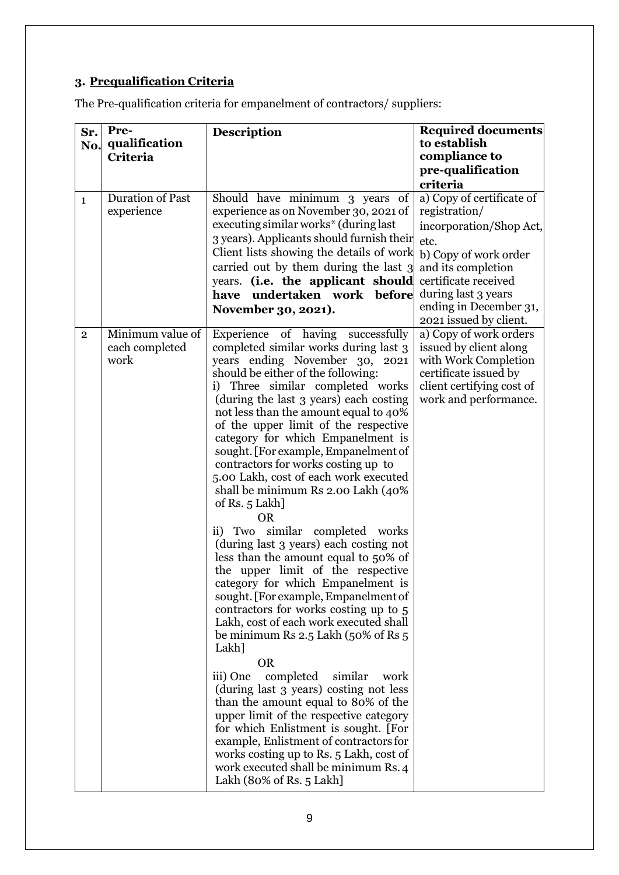# **3. Prequalification Criteria**

The Pre-qualification criteria for empanelment of contractors/ suppliers:

| Sr.            | Pre-<br>qualification                      | <b>Description</b>                                                                                                                                                                                                                                                                                                                                                                                                                                                                                                                                                                                                                                                                                                                                                                                                                                                                                                                                                                                                                                                                                                                                                                                                                                  | <b>Required documents</b><br>to establish                                                                                                               |
|----------------|--------------------------------------------|-----------------------------------------------------------------------------------------------------------------------------------------------------------------------------------------------------------------------------------------------------------------------------------------------------------------------------------------------------------------------------------------------------------------------------------------------------------------------------------------------------------------------------------------------------------------------------------------------------------------------------------------------------------------------------------------------------------------------------------------------------------------------------------------------------------------------------------------------------------------------------------------------------------------------------------------------------------------------------------------------------------------------------------------------------------------------------------------------------------------------------------------------------------------------------------------------------------------------------------------------------|---------------------------------------------------------------------------------------------------------------------------------------------------------|
| No.            | <b>Criteria</b>                            |                                                                                                                                                                                                                                                                                                                                                                                                                                                                                                                                                                                                                                                                                                                                                                                                                                                                                                                                                                                                                                                                                                                                                                                                                                                     | compliance to                                                                                                                                           |
|                |                                            |                                                                                                                                                                                                                                                                                                                                                                                                                                                                                                                                                                                                                                                                                                                                                                                                                                                                                                                                                                                                                                                                                                                                                                                                                                                     | pre-qualification                                                                                                                                       |
|                |                                            |                                                                                                                                                                                                                                                                                                                                                                                                                                                                                                                                                                                                                                                                                                                                                                                                                                                                                                                                                                                                                                                                                                                                                                                                                                                     | criteria                                                                                                                                                |
| $\mathbf{1}$   | <b>Duration of Past</b>                    | Should have minimum 3 years of                                                                                                                                                                                                                                                                                                                                                                                                                                                                                                                                                                                                                                                                                                                                                                                                                                                                                                                                                                                                                                                                                                                                                                                                                      | a) Copy of certificate of                                                                                                                               |
|                | experience                                 | experience as on November 30, 2021 of                                                                                                                                                                                                                                                                                                                                                                                                                                                                                                                                                                                                                                                                                                                                                                                                                                                                                                                                                                                                                                                                                                                                                                                                               | registration/                                                                                                                                           |
|                |                                            | executing similar works* (during last                                                                                                                                                                                                                                                                                                                                                                                                                                                                                                                                                                                                                                                                                                                                                                                                                                                                                                                                                                                                                                                                                                                                                                                                               | incorporation/Shop Act,                                                                                                                                 |
|                |                                            | 3 years). Applicants should furnish their<br>Client lists showing the details of work                                                                                                                                                                                                                                                                                                                                                                                                                                                                                                                                                                                                                                                                                                                                                                                                                                                                                                                                                                                                                                                                                                                                                               | etc.                                                                                                                                                    |
|                |                                            | carried out by them during the last 3                                                                                                                                                                                                                                                                                                                                                                                                                                                                                                                                                                                                                                                                                                                                                                                                                                                                                                                                                                                                                                                                                                                                                                                                               | b) Copy of work order<br>and its completion                                                                                                             |
|                |                                            | years. (i.e. the applicant should                                                                                                                                                                                                                                                                                                                                                                                                                                                                                                                                                                                                                                                                                                                                                                                                                                                                                                                                                                                                                                                                                                                                                                                                                   | certificate received                                                                                                                                    |
|                |                                            | undertaken work<br>before<br>have                                                                                                                                                                                                                                                                                                                                                                                                                                                                                                                                                                                                                                                                                                                                                                                                                                                                                                                                                                                                                                                                                                                                                                                                                   | during last 3 years                                                                                                                                     |
|                |                                            | November 30, 2021).                                                                                                                                                                                                                                                                                                                                                                                                                                                                                                                                                                                                                                                                                                                                                                                                                                                                                                                                                                                                                                                                                                                                                                                                                                 | ending in December 31,<br>2021 issued by client.                                                                                                        |
| $\overline{2}$ | Minimum value of<br>each completed<br>work | Experience of having successfully<br>completed similar works during last 3<br>years ending November 30, 2021<br>should be either of the following:<br>i) Three similar completed works<br>(during the last 3 years) each costing<br>not less than the amount equal to 40%<br>of the upper limit of the respective<br>category for which Empanelment is<br>sought. [For example, Empanelment of<br>contractors for works costing up to<br>5.00 Lakh, cost of each work executed<br>shall be minimum Rs 2.00 Lakh (40%<br>of Rs. 5 Lakh]<br><b>OR</b><br>similar completed works<br>ii) Two<br>(during last 3 years) each costing not<br>less than the amount equal to 50% of<br>the upper limit of the respective<br>category for which Empanelment is<br>sought. [For example, Empanelment of<br>contractors for works costing up to 5<br>Lakh, cost of each work executed shall<br>be minimum Rs 2.5 Lakh (50% of Rs $5$<br>Lakh]<br><b>OR</b><br>completed<br>similar<br>iii) One<br>work<br>(during last 3 years) costing not less<br>than the amount equal to 80% of the<br>upper limit of the respective category<br>for which Enlistment is sought. [For<br>example, Enlistment of contractors for<br>works costing up to Rs. 5 Lakh, cost of | a) Copy of work orders<br>issued by client along<br>with Work Completion<br>certificate issued by<br>client certifying cost of<br>work and performance. |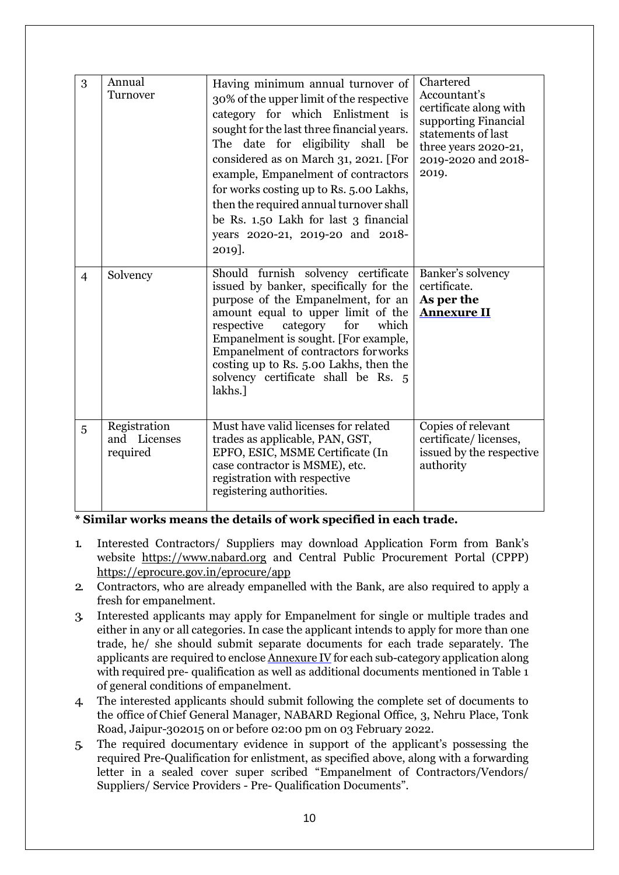| 3              | Annual<br>Turnover                       | Having minimum annual turnover of<br>30% of the upper limit of the respective<br>category for which Enlistment is<br>sought for the last three financial years.<br>The date for eligibility shall be<br>considered as on March 31, 2021. [For<br>example, Empanelment of contractors<br>for works costing up to Rs. 5.00 Lakhs,<br>then the required annual turnover shall<br>be Rs. 1.50 Lakh for last 3 financial<br>years 2020-21, 2019-20 and 2018- | Chartered<br>Accountant's<br>certificate along with<br>supporting Financial<br>statements of last<br>three years 2020-21,<br>2019-2020 and 2018-<br>2019. |
|----------------|------------------------------------------|---------------------------------------------------------------------------------------------------------------------------------------------------------------------------------------------------------------------------------------------------------------------------------------------------------------------------------------------------------------------------------------------------------------------------------------------------------|-----------------------------------------------------------------------------------------------------------------------------------------------------------|
| $\overline{4}$ | Solvency                                 | 2019].<br>Should furnish solvency certificate<br>issued by banker, specifically for the<br>purpose of the Empanelment, for an<br>amount equal to upper limit of the<br>respective<br>category for<br>which<br>Empanelment is sought. [For example,<br>Empanelment of contractors for works<br>costing up to Rs. 5.00 Lakhs, then the<br>solvency certificate shall be Rs. 5<br>lakhs.]                                                                  | Banker's solvency<br>certificate.<br>As per the<br><b>Annexure II</b>                                                                                     |
| 5              | Registration<br>and Licenses<br>required | Must have valid licenses for related<br>trades as applicable, PAN, GST,<br>EPFO, ESIC, MSME Certificate (In<br>case contractor is MSME), etc.<br>registration with respective<br>registering authorities.                                                                                                                                                                                                                                               | Copies of relevant<br>certificate/licenses,<br>issued by the respective<br>authority                                                                      |

**\* Similar works means the details of work specified in each trade.**

- 1. Interested Contractors/ Suppliers may download Application Form from Bank's website https://www.nabard.org and Central Public Procurement Portal (CPPP) https://eprocure.gov.in/eprocure/app
- 2. Contractors, who are already empanelled with the Bank, are also required to apply a fresh for empanelment.
- 3. Interested applicants may apply for Empanelment for single or multiple trades and either in any or all categories. In case the applicant intends to apply for more than one trade, he/ she should submit separate documents for each trade separately. The applicants are required to enclose [Annexure](#page-17-0) IV for each sub-category application along with required pre- qualification as well as additional documents mentioned in Table 1 of general conditions of empanelment.
- 4. The interested applicants should submit following the complete set of documents to the office of Chief General Manager, NABARD Regional Office, 3, Nehru Place, Tonk Road, Jaipur-302015 on or before 02:00 pm on 03 February 2022.
- 5. The required documentary evidence in support of the applicant's possessing the required Pre-Qualification for enlistment, as specified above, along with a forwarding letter in a sealed cover super scribed "Empanelment of Contractors/Vendors/ Suppliers/ Service Providers - Pre- Qualification Documents".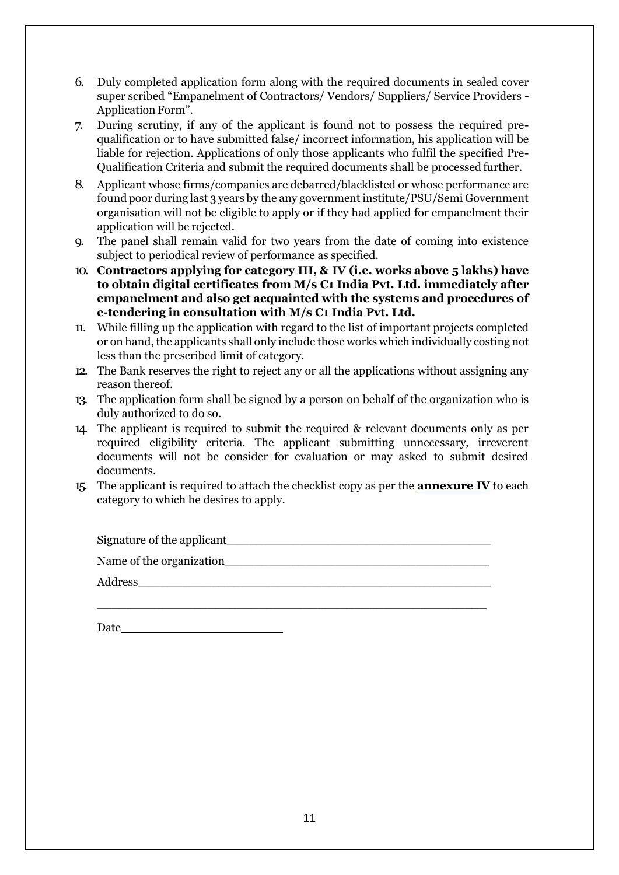- 6. Duly completed application form along with the required documents in sealed cover super scribed "Empanelment of Contractors/ Vendors/ Suppliers/ Service Providers - Application Form".
- 7. During scrutiny, if any of the applicant is found not to possess the required prequalification or to have submitted false/ incorrect information, his application will be liable for rejection. Applications of only those applicants who fulfil the specified Pre-Qualification Criteria and submit the required documents shall be processed further.
- 8. Applicant whose firms/companies are debarred/blacklisted or whose performance are found poor during last 3 years by the any government institute/PSU/Semi Government organisation will not be eligible to apply or if they had applied for empanelment their application will be rejected.
- 9. The panel shall remain valid for two years from the date of coming into existence subject to periodical review of performance as specified.
- 10. **Contractors applying for category III, & IV (i.e. works above 5 lakhs) have to obtain digital certificates from M/s C1 India Pvt. Ltd. immediately after empanelment and also get acquainted with the systems and procedures of e-tendering in consultation with M/s C1 India Pvt. Ltd.**
- 11. While filling up the application with regard to the list of important projects completed or on hand, the applicants shall only include those works which individually costing not less than the prescribed limit of category.
- 12. The Bank reserves the right to reject any or all the applications without assigning any reason thereof.
- 13. The application form shall be signed by a person on behalf of the organization who is duly authorized to do so.
- 14. The applicant is required to submit the required & relevant documents only as per required eligibility criteria. The applicant submitting unnecessary, irreverent documents will not be consider for evaluation or may asked to submit desired documents.
- 15. The applicant is required to attach the checklist copy as per the **[annexure IV](#page-17-0)** to each category to which he desires to apply.

| Signature of the applicant |
|----------------------------|
| Name of the organization   |
| Address                    |
|                            |

| Date |  |  |  |  |
|------|--|--|--|--|
|      |  |  |  |  |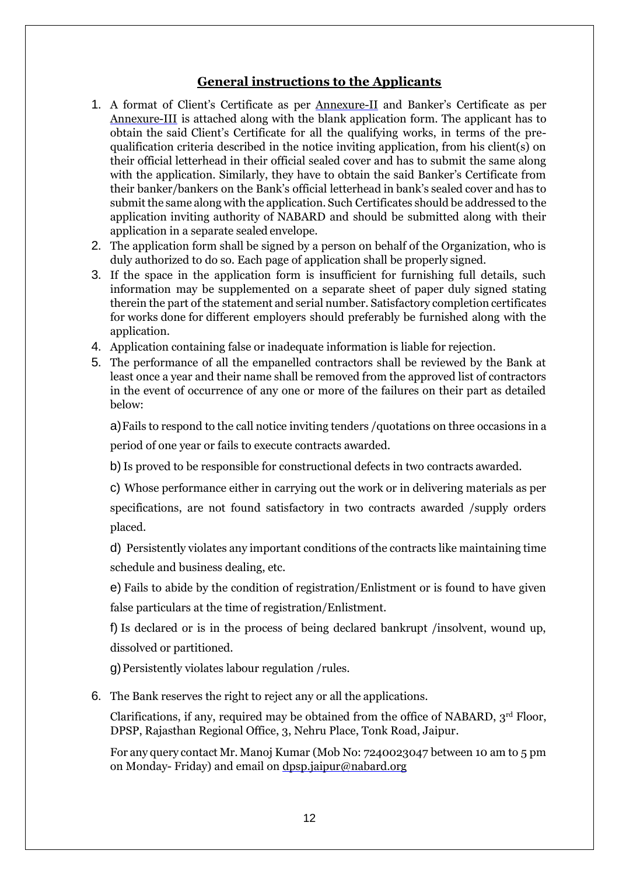### **General instructions to the Applicants**

- 1. A format of Client's Certificate as per [Annexure-II](#page-15-0) and Banker's Certificate as pe[r](#page-17-1) [Annexure-III](#page-17-1) is attached along with the blank application form. The applicant has to obtain the said Client's Certificate for all the qualifying works, in terms of the prequalification criteria described in the notice inviting application, from his client(s) on their official letterhead in their official sealed cover and has to submit the same along with the application. Similarly, they have to obtain the said Banker's Certificate from their banker/bankers on the Bank's official letterhead in bank's sealed cover and has to submit the same along with the application. Such Certificates should be addressed to the application inviting authority of NABARD and should be submitted along with their application in a separate sealed envelope.
- 2. The application form shall be signed by a person on behalf of the Organization, who is duly authorized to do so. Each page of application shall be properly signed.
- 3. If the space in the application form is insufficient for furnishing full details, such information may be supplemented on a separate sheet of paper duly signed stating therein the part of the statement and serial number. Satisfactory completion certificates for works done for different employers should preferably be furnished along with the application.
- 4. Application containing false or inadequate information is liable for rejection.
- 5. The performance of all the empanelled contractors shall be reviewed by the Bank at least once a year and their name shall be removed from the approved list of contractors in the event of occurrence of any one or more of the failures on their part as detailed below:

a)Fails to respond to the call notice inviting tenders /quotations on three occasions in a period of one year or fails to execute contracts awarded.

b)Is proved to be responsible for constructional defects in two contracts awarded.

c) Whose performance either in carrying out the work or in delivering materials as per specifications, are not found satisfactory in two contracts awarded /supply orders placed.

d) Persistently violates any important conditions of the contracts like maintaining time schedule and business dealing, etc.

e) Fails to abide by the condition of registration/Enlistment or is found to have given false particulars at the time of registration/Enlistment.

f) Is declared or is in the process of being declared bankrupt /insolvent, wound up, dissolved or partitioned.

g)Persistently violates labour regulation /rules.

6. The Bank reserves the right to reject any or all the applications.

Clarifications, if any, required may be obtained from the office of NABARD,  $3<sup>rd</sup>$  Floor, DPSP, Rajasthan Regional Office, 3, Nehru Place, Tonk Road, Jaipur.

For any query contact Mr. Manoj Kumar (Mob No: 7240023047 between 10 am to 5 pm on Monday- Friday) and email on [dpsp.jaipur@nabard.org](mailto:dpsp.jaipur@nabard.org)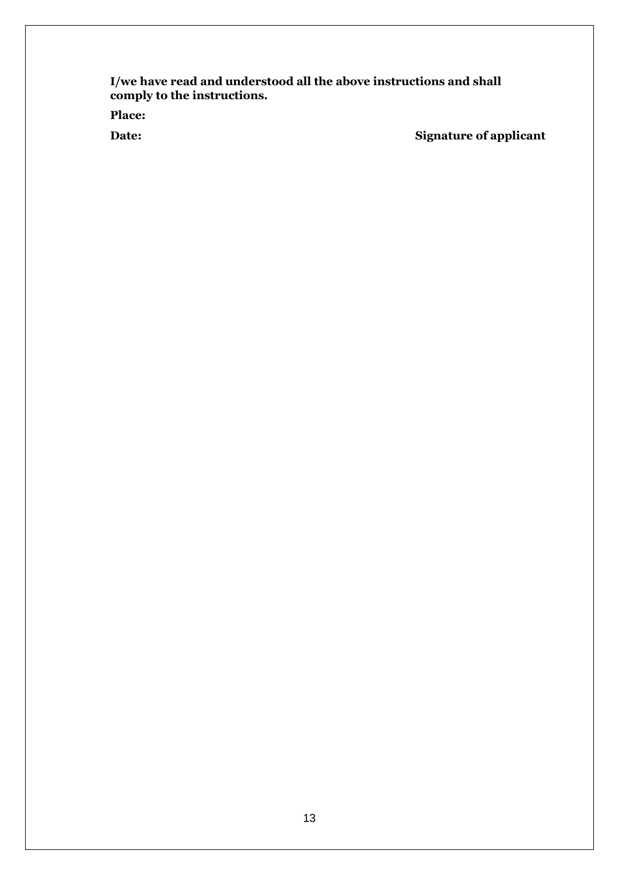**I/we have read and understood all the above instructions and shall comply to the instructions.**

**Place:**

**Date: Signature of applicant**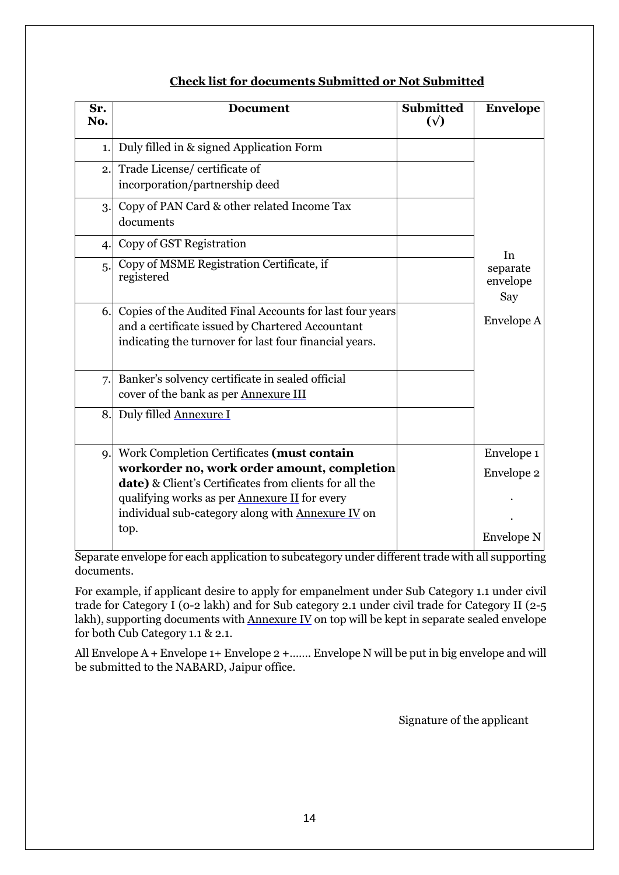| Sr.<br>No.     | <b>Document</b>                                                                                                                                                                                                    | <b>Submitted</b><br>$(\sqrt{2})$ | <b>Envelope</b>             |
|----------------|--------------------------------------------------------------------------------------------------------------------------------------------------------------------------------------------------------------------|----------------------------------|-----------------------------|
| 1.             | Duly filled in & signed Application Form                                                                                                                                                                           |                                  |                             |
| 2.             | Trade License/certificate of<br>incorporation/partnership deed                                                                                                                                                     |                                  |                             |
| 3.             | Copy of PAN Card & other related Income Tax<br>documents                                                                                                                                                           |                                  |                             |
| $\overline{4}$ | Copy of GST Registration                                                                                                                                                                                           |                                  | In                          |
| 5.             | Copy of MSME Registration Certificate, if<br>registered                                                                                                                                                            |                                  | separate<br>envelope<br>Say |
| 6.             | Copies of the Audited Final Accounts for last four years<br>and a certificate issued by Chartered Accountant<br>indicating the turnover for last four financial years.                                             |                                  | Envelope A                  |
| 7.             | Banker's solvency certificate in sealed official<br>cover of the bank as per Annexure III                                                                                                                          |                                  |                             |
| 8.             | Duly filled Annexure I                                                                                                                                                                                             |                                  |                             |
| 9.             | Work Completion Certificates (must contain                                                                                                                                                                         |                                  | Envelope 1                  |
|                | workorder no, work order amount, completion<br>date) & Client's Certificates from clients for all the<br>qualifying works as per <b>Annexure II</b> for every<br>individual sub-category along with Annexure IV on |                                  | Envelope 2                  |
|                | top.                                                                                                                                                                                                               |                                  | <b>Envelope N</b>           |

Separate envelope for each application to subcategory under different trade with all supporting documents.

For example, if applicant desire to apply for empanelment under Sub Category 1.1 under civil trade for Category I (0-2 lakh) and for Sub category 2.1 under civil trade for Category II (2-5 lakh), supporting documents with [Annexure](#page-17-1) IV on top will be kept in separate sealed envelope for both Cub Category 1.1 & 2.1.

All Envelope A + Envelope 1+ Envelope 2 +……. Envelope N will be put in big envelope and will be submitted to the NABARD, Jaipur office.

Signature of the applicant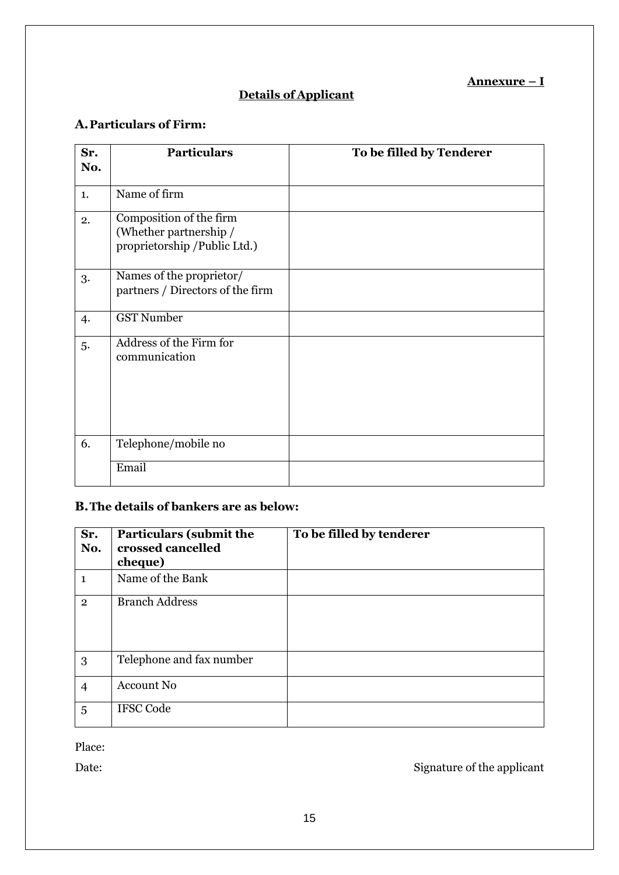## **Annexure – I**

# **Details of Applicant**

# <span id="page-14-0"></span>**A.Particulars of Firm:**

| Sr.<br>No. | <b>Particulars</b>                                                                | To be filled by Tenderer |
|------------|-----------------------------------------------------------------------------------|--------------------------|
| 1.         | Name of firm                                                                      |                          |
| 2.         | Composition of the firm<br>(Whether partnership /<br>proprietorship /Public Ltd.) |                          |
| 3.         | Names of the proprietor/<br>partners / Directors of the firm                      |                          |
| 4.         | <b>GST Number</b>                                                                 |                          |
| 5.         | Address of the Firm for<br>communication                                          |                          |
| 6.         | Telephone/mobile no                                                               |                          |
|            | Email                                                                             |                          |

# **B.The details of bankers are as below:**

| Sr.<br>No.     | <b>Particulars (submit the</b><br>crossed cancelled<br>cheque) | To be filled by tenderer |
|----------------|----------------------------------------------------------------|--------------------------|
| $\mathbf{1}$   | Name of the Bank                                               |                          |
| $\overline{2}$ | <b>Branch Address</b>                                          |                          |
| 3              | Telephone and fax number                                       |                          |
| $\overline{4}$ | <b>Account No</b>                                              |                          |
| 5              | <b>IFSC Code</b>                                               |                          |

Place:

Date: Signature of the applicant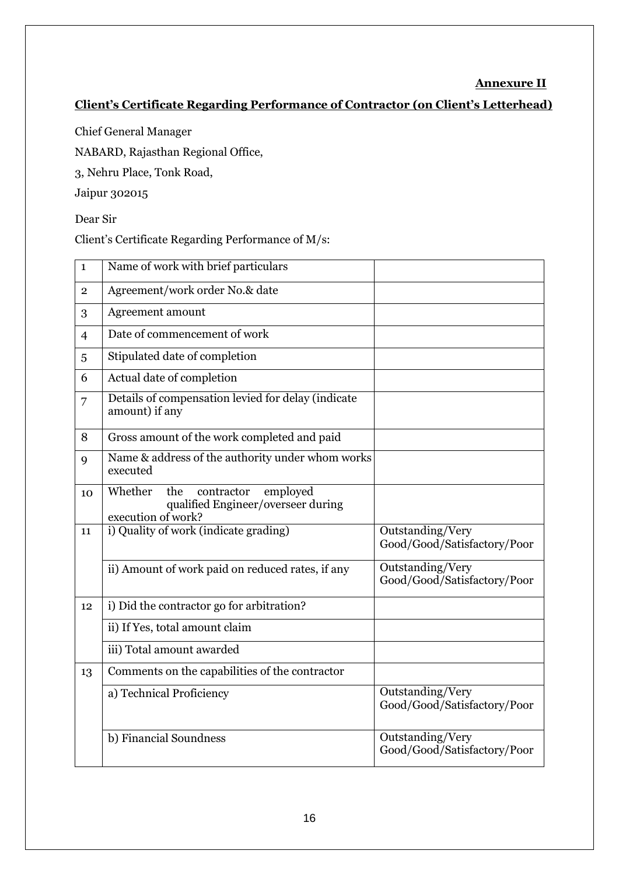### **Annexure II**

# <span id="page-15-0"></span>**Client's Certificate Regarding Performance of Contractor (on Client's Letterhead)**

Chief General Manager

NABARD, Rajasthan Regional Office,

3, Nehru Place, Tonk Road,

Jaipur 302015

Dear Sir

Client's Certificate Regarding Performance of M/s:

| $\mathbf{1}$   | Name of work with brief particulars                                                                  |                                                 |
|----------------|------------------------------------------------------------------------------------------------------|-------------------------------------------------|
| $\overline{2}$ | Agreement/work order No.& date                                                                       |                                                 |
| 3              | Agreement amount                                                                                     |                                                 |
| $\overline{4}$ | Date of commencement of work                                                                         |                                                 |
| 5              | Stipulated date of completion                                                                        |                                                 |
| 6              | Actual date of completion                                                                            |                                                 |
| 7              | Details of compensation levied for delay (indicate<br>amount) if any                                 |                                                 |
| 8              | Gross amount of the work completed and paid                                                          |                                                 |
| 9              | Name & address of the authority under whom works<br>executed                                         |                                                 |
| 10             | Whether<br>the<br>contractor<br>employed<br>qualified Engineer/overseer during<br>execution of work? |                                                 |
| 11             | i) Quality of work (indicate grading)                                                                | Outstanding/Very<br>Good/Good/Satisfactory/Poor |
|                | ii) Amount of work paid on reduced rates, if any                                                     | Outstanding/Very<br>Good/Good/Satisfactory/Poor |
| 12             | i) Did the contractor go for arbitration?                                                            |                                                 |
|                | ii) If Yes, total amount claim                                                                       |                                                 |
|                | iii) Total amount awarded                                                                            |                                                 |
| 13             | Comments on the capabilities of the contractor                                                       |                                                 |
|                | a) Technical Proficiency                                                                             | Outstanding/Very<br>Good/Good/Satisfactory/Poor |
|                | b) Financial Soundness                                                                               | Outstanding/Very<br>Good/Good/Satisfactory/Poor |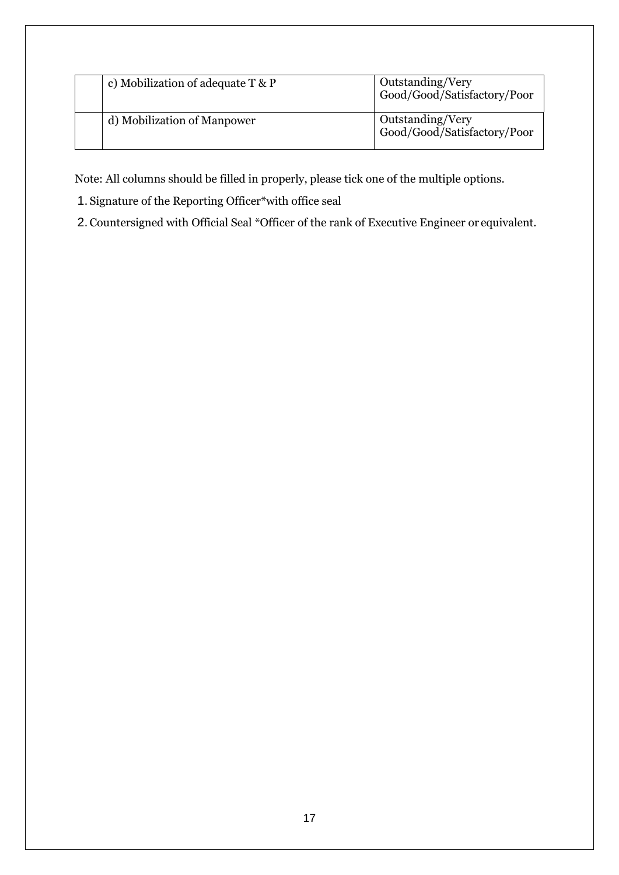| c) Mobilization of adequate $T \& P$ | Outstanding/Very<br>Good/Good/Satisfactory/Poor |
|--------------------------------------|-------------------------------------------------|
| d) Mobilization of Manpower          | Outstanding/Very<br>Good/Good/Satisfactory/Poor |

Note: All columns should be filled in properly, please tick one of the multiple options.

1. Signature of the Reporting Officer\*with office seal

2.Countersigned with Official Seal \*Officer of the rank of Executive Engineer or equivalent.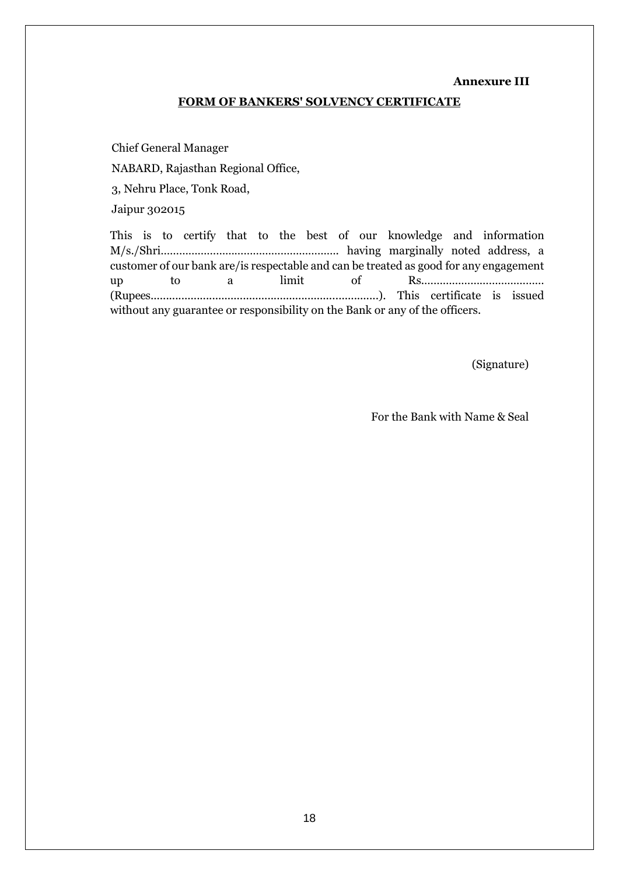#### **Annexure III**

#### **FORM OF BANKERS' SOLVENCY CERTIFICATE**

<span id="page-17-1"></span>Chief General Manager NABARD, Rajasthan Regional Office, 3, Nehru Place, Tonk Road, Jaipur 302015

This is to certify that to the best of our knowledge and information M/s./Shri…………………………………………………. having marginally noted address, a customer of our bank are/is respectable and can be treated as good for any engagement up to a limit of Rs.………………………………… (Rupees..........................................................................). This certificate is issued without any guarantee or responsibility on the Bank or any of the officers.

(Signature)

<span id="page-17-0"></span>For the Bank with Name & Seal